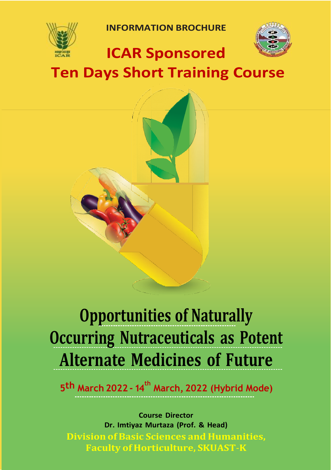

**INFORMATION BROCHURE**



## **ICAR Sponsored**

**Ten Days Short Training Course**



# **Opportunities of Naturally Occurring Nutraceuticals as Potent Alternate Medicines of Future**

**5th March 2022 - 14 th March, 2022 (Hybrid Mode)**

**Course Director Dr. Imtiyaz Murtaza (Prof. & Head) Division of Basic Sciences and Humanities, Faculty of Horticulture, SKUAST**-**K**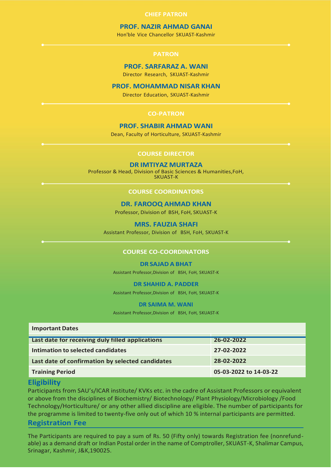#### **CHIEF PATRON**

#### **PROF. NAZIR AHMAD GANAI**

Hon'ble Vice Chancellor SKUAST-Kashmir

#### **PROF. SARFARAZ A. WANI**

Director Research, SKUAST-Kashmir

#### **PROF. MOHAMMAD NISAR KHAN**

Director Education, SKUAST-Kashmir

#### **CO-PATRON**

#### **PROF. SHABIR AHMAD WANI**

Dean, Faculty of Horticulture, SKUAST-Kashmir

#### **COURSE DIRECTOR**

#### **DR IMTIYAZ MURTAZA**

Professor & Head, Division of Basic Sciences & Humanities,FoH,

SKUAST-K

#### **COURSE COORDINATORS**

#### **DR. FAROOQ AHMAD KHAN**

Professor, Division of BSH, FoH, SKUAST-K

#### **MRS. FAUZIA SHAFI**

Assistant Professor, Division of BSH, FoH, SKUAST-K

#### **COURSE CO-COORDINATORS**

#### **DR SAJAD A BHAT**

Assistant Professor,Division of BSH, FoH, SKUAST-K

#### **DR SHAHID A. PADDER**

Assistant Professor,Division of BSH, FoH, SKUAST-K

#### **DR SAIMA M. WANI**

Assistant Professor,Division of BSH, FoH, SKUAST-K

| <b>Important Dates</b> |
|------------------------|
|                        |

| Last date for receiving duly filled applications | 26-02-2022             |
|--------------------------------------------------|------------------------|
|                                                  |                        |
| Intimation to selected candidates                | 27-02-2022             |
|                                                  |                        |
| Last date of confirmation by selected candidates | 28-02-2022             |
|                                                  |                        |
| <b>Training Period</b>                           | 05-03-2022 to 14-03-22 |

#### **Eligibility**

Participants from SAU's/ICAR institute/ KVKs etc. in the cadre of Assistant Professors or equivalent or above from the disciplines of Biochemistry/ Biotechnology/ Plant Physiology/Microbiology /Food Technology/Horticulture/ or any other allied discipline are eligible. The number of participants for the programme is limited to twenty-five only out of which 10 % internal participants are permitted. **Registration Fee**

#### The Participants are required to pay a sum of Rs. 50 (Fifty only) towards Registration fee (nonrefundable) as a demand draft or Indian Postal order in the name of Comptroller, SKUAST-K, Shalimar Campus, Srinagar, Kashmir, J&K,190025.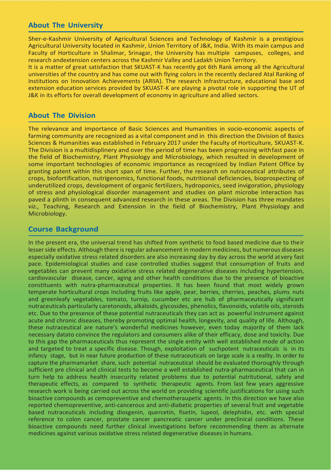#### **About The University**

Sher-e-Kashmir University of Agricultural Sciences and Technology of Kashmir is a prestigious Agricultural University located in Kashmir, Union Territory of J&K, India. With its main campus and Faculty of Horticulture in Shalimar, Srinagar, the University has multiple campuses, colleges, and research andextension centers across the Kashmir Valley and Ladakh Union Territory.

It is a matter of great satisfaction that SKUAST-K has recently got 6th Rank among all the Agricultural universities of the country and has come out with flying colors in the recently declared Atal Ranking of Institutions on Innovation Achievements (ARIIA). The research infrastructure, educational base and extension education services provided by SKUAST-K are playing a pivotal role in supporting the UT of J&K in its efforts for overall development of economy in agriculture and allied sectors.

#### **About The Division**

The relevance and importance of Basic Sciences and Humanities in socio-economic aspects of farming community are recognized as a vital component and in this direction the Division of Basics Sciences & Humanities was established in February 2017 under the Faculty of Horticulture, SKUAST-K. The Division is a multidisplinery and over the period of time has been progressing withfast pace in the field of Biochemistry, Plant Physiology and Microbiology, which resulted in development of some important technologies of economic importance as recognized by Indian Patent Office by granting patent within this short span of time. Further, the research on nutraceutical attributes of crops, biofortification, nutrigenomics, functional foods, nutritional deficiencies, bioprospecting of underutilized crops, development of organic fertilizers, hydroponics, seed invigoration, physiology of stress and physiological disorder management and studies on plant microbe interaction has paved a plinth in consequent advanced research in these areas. The Division has three mandates *viz.,* Teaching, Research and Extension in the field of Biochemistry, Plant Physiology and Microbiology.

#### **Course Background**

In the present era, the universal trend has shifted from synthetic to food based medicine due to their lesser side effects. Although there is regular advancement in modern medicines, but numerous diseases especially oxidative stress related disorders are also increasing day by day across the world atvery fast pace. Epidemiological studies and case controlled studies suggest that consumption of fruits and vegetables can prevent many oxidative stress related degenerative diseases including hypertension, cardiovascular disease, cancer, aging and other health conditions due to the presence of bioactive constituents with nutra-pharmaceutical properties. It has been found that most widely grown temperate horticultural crops including fruits like apple, pear, berries, cherries, peaches, plums nuts and greenleafy vegetables, tomato, turnip, cucumber etc are hub of pharmaceutically significant nutraceuticals particularly caretonoids, alkaloids, glycosides, phenolics, flavonoids, volatile oils, steroids etc. Due to the presence of these potential nutraceuticals they can act as powerful instrument against acute and chronic diseases, thereby promoting optimal health, longevity, and quality of life. Although, these nutraceutical are nature's wonderful medicines however, even today majority of them lack necessary datato convince the regulators and consumers alike of their efficacy, dose and toxicity. Due to this gap the pharmaceuticals thus represent the single entity with well established mode of action and targeted to treat a specific disease. Though, exploitation of suchpotent nutraceuticals is in its infancy stage, but in near future production of these nutraceuticals on large scale is a reality. In order to capture the pharmamarket share, such potential nutraceutical should be evaluated thoroughly through sufficient pre clinical and clinical tests to become a well established nutra-pharmaceutical that can in turn help to address health insecurity related problems due to potential nutritutional, safety and therapeutic effects, as compared to synthetic therapeutic agents. From last few years aggressive research work is being carried out across the world on providing scientific justifications for using such bioactive compounds as cemopreventive and chemotheraupetic agents. In this direction we have also reported chemopreventive, anti-cancerous and anti-diabetic properties of several fruit and vegetable based nutraceuticals including diosgenin, quercetin, fisetin, lupeol, delephidin, etc. with special reference to colon cancer, prostate cancer pancreatic cancer under preclinical conditions. These bioactive compounds need further clinical investigations before recommending them as alternate medicines against various oxidative stress related degenerative diseases in humans.